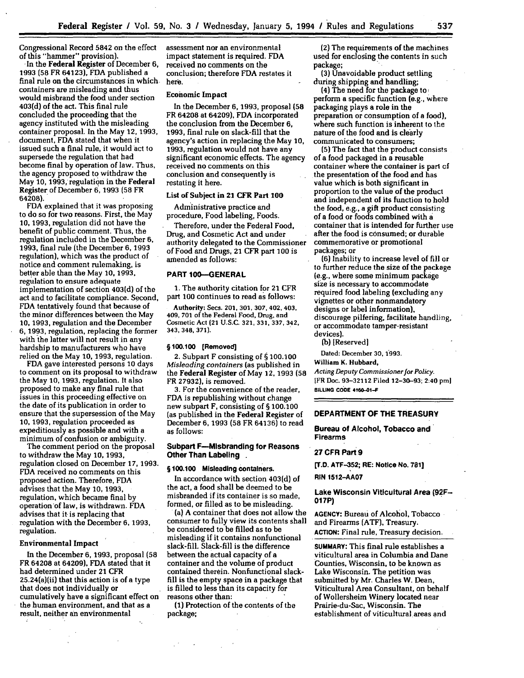Congressional Record 5842 on the effect of this "hammer" provision).

**-In** the **Federal** Register of December **6,** 1993 **(58** FR 64123), **FDA** published a final rule on the circumstances in which containers are misleading and thus would misbrand the food under section 403(d) of the act. This final rule concluded the proceeding that the agency instituted with the misleading container proposal. In the May 12, 1993, document, **FDA** stated that when it issued such a final rule, **it** would act to supersede the regulation that had become final **by** operation of law. Thus, the agency proposed to withdraw the May **10,** 1993, regulation in the Federal Register of December **6,** 1993 (58 FR 64208).

FDA explained that it was proposing to do so for two reasons. First, the May **10,** 1993, regulation did not have the benefit of public comment. Thus, the regulation included in the December **6, 1993,** final rule (the December 6, 1993 regulation), which was the product of notice and comment rulemaking, is better able than the May 10, **1993,** regulation to ensure adequate implementation of section 403(d) of the act and to facilitate compliance. Second, FDA tentatively found that because of the minor differences between the May **10,** 1993, regulation and the December **6,** 1993, regulation, replacing the former with the latter will not result in any hardship to manufacturers who have relied on the May **10, 1993,** regulation.

FDA gave interested persons **10** days to comment on its proposal to withdraw the May **10,** 1993, regulation. It **also** proposed to make any final rule that issues in this proceeding effective on the date of its publication in order to ensure that the supersession of the May **10,** 1993, regulation proceeded as expeditiously as possible and with a

The comment period on the proposal to withdraw the May **10,** 1993, regulation closed on December **17, 1993. FDA** received no comments on this proposed action. Therefore, **FDA** advises that the May **10,** 1993, regulation, which became final by operation of law, is withdrawn. **FDA** advises that it is replacing that regulation with the December 6, 1993, regulation.

#### Environmental Impact

In the December **6, 1993,** proposal **(58** FR 64208 at 64209), **FDA** stated that it had determined under 21 **CFR** 25.24(a)(ii) that this action is of a type that does not individually or cumulatively have a significant effect **on** the human environment, and that as a result, neither an environmental

assessment nor an environmental impact statement is required. **FDA** received no comments on the conclusion; therefore **FDA** restates **it** here.

#### Economic **Impact**

In the December **6, 1993,** proposal **(58 FR 64208 at 64209), FDA incorporated** the conclusion from the December **6, 1993,** final rule on slack-fill that the agency's action in replacing the May **10, 1993,** regulation would not have any significant economic effects. The agency received no comments on this conclusion and consequently is restating it here.

# List of Subject in 21 **CFR** Part **100**

Administrative practice and procedure, Food labeling, Foods.

Therefore, under the Federal Food, Drug, and Cosmetic Act and under authority delegated to the Commissioner of Food and Drugs, 21 **CFR** part **100** is amended as follows:

# **PART 100-GENERAL**

**1.** The authority citation for 21 CFR part **100** continues to read as follows:

Authority: Secs. 201, 301, 307, 402, 403, 409, **701** of the Federal Food, Drug, and Cosmetic Act **(21** U.S.C. **321, 331, 337, 342, 343, 348, 371).**

## **§ 100.100 (Removed)**

2. Subpart F consisting of § **100.100** *Misleading containers* (as published in the Federal Register of May **12, 1993** (58 FR 27932), is removed.

3. For the convenience of the reader, **FDA** is republishing without change new subpart F, consisting of § **100.100** (as published in the Federal Register of December **6, 1993 (58** FR **64136)** to read as follows:

#### **Subpart F-Misbranding for Reasons Other Than Labeling** *.*

## **§ 100.100 Misleading containers.**

In accordance with section 403(d) of the act, a food shall be deemed to be misbranded if its container is so made, formed, or filled as to be misleading.

(a) A container that does not allow the consumer to fully view its contents shall be considered to be filled as to be misleading if it contains nonfunctional slack-fill. Slack-fill is the difference between the actual capacity of a container and the volume of product contained therein. Nonfunctional slackfill is the empty space in a package that is filled to less than its capacity for reasons other than:

**(1)** Protection of the contents of the package;

(2) The requirements of the machines used for enclosing the contents in such package;

**(3)** Unavoidable product settling during shipping and handling;

(4) The need for the package to, perform a specific function (e.g., where packaging plays a role in the preparation or consumption of a food), where such function is inherent to the nature of the food and is clearly communicated to consumers;

**(5)** The fact that the product consists of a food packaged in a reusable container where the container is part **cf** the presentation of the food and has value which is both significant in proportion to the value of **the** product and independent of its function to hold the food, e.g., a gift product consisting of a food or foods combined with a container that is intended for further use after the food is consumed; or durable commemorative or promotional packages; or

(6) Inability to increase level of fill or to further reduce the size of the package (e.g., where some minimum package size is necessary to accommodate required food labeling (excluding any vignettes or other nonmandatory designs or label information), discourage pilfering, facilitate handling, or accommodate tamper-resistant devices).

**(b)** [Reserved]

Dated: December **30. 1993.**

William K. Hubbard, Acting Deputy Commissioner for Policy. 1FR Doc. **93-32112** Filed **12-30-93;** 2:40 **pml BILUNG CODE 4180-01-F**

# **DEPARTMENT OF THE TREASURY**

**Bureau of Alcohol, Tobacco and Firearms**

### **27 CFR Part 9**

**[T.D. ATF-352; RE: Notice No. 7811**

**RIN 1512-AA07**

## **Lake Wisconsin Viticultural Area (92F-017P)**

**AGENCY: Bureau of** Alcohol, Tobacco and Firearms (ATF), Treasury. **ACTION:** Final rule, Treasury decision.

SUMMARY: This final rule establishes a viticultural area in Columbia and Dane Counties, Wisconsin, to be known as Lake Wisconsin. The petition was submitted **by** Mr. Charles W. Dean, Viticultural Area Consultant, on behalf of Wollersheim Winery located near Prairie-du-Sac, Wisconsin. The establishment of viticultural areas and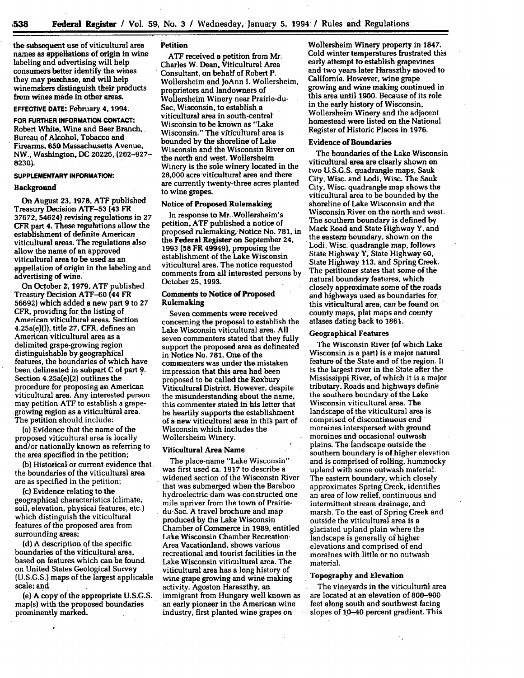the subsequent use of viticultural area names as appellations of origin in wine labeling and advertising will help consumers better identify the wines they may purchase, and will help winemakers distinguish their products from wines made in other areas

## **EFFECTIVE DATE:** February **4,** 1994.

**FOR FURTHER INFORMATION CONTACT:** Robert White, Wine and Beer Branch, Bureau of Alcohol, Tobacco and Firearms, **650** Massachusetts Avenue, NW., Washington, **DC 20226, (202-927- 823q1**

#### **SUPPLEMENTARY INFORMATION:**

### **Background**

**On August 23, 1978. ATF** published Treasury Decision **ATF-53** (43 **FR 37672,** 54624) revising regulations in **27** CFR part 4. These regulations allow the establishment of definite American viticultural areas. The regulations also allow the name of an approved viticultural area to be used as an appellation **of** origin in the labeling **and** advertising **of** wine.

On October **2, 1979, ATF** published Treasury Decision **ATF-60** (44 FR **56692)** which added a new part 9 to 27 CFR, providing for the listing of American viticultural areas. Section 4.25a(e)(l), title **27,** CFR, defines an American viticultural area as a delimited grape-growing region distinguishable **by** geographical features, the boundaries of which have been delineated in subpart **C of** part **9.** Section 4.25a(e)(2) outlines the procedure for proposing an American viticultural area. Any interested person may petition **ATF** to establish a grape- .growing region as a viticultural area. The petition should include:

(a) Evidence that the name of the proposed viticultural area is locally and/or nationally known as referring to the area specified in the petition;

**(b)** Historical or current evidence that the boundaries of the viticultural area are as specified in the petition;

(c) Evidence relating to the geographical characteristics (climate, soil, elevation, physical features, etc.) which distinguish the viticultural features of the proposed area from surrounding areas;

**(d)** A description **of** the specific boundaries of the viticultural area, based on features which can be found on United States Geological Survey **(U.S.G.S.)** maps of the largest applicable scale; and

**(e)** A copy of the appropriate **U.S.G.S.** map(s) with the proposed boundaries prominently marked.

# **Petition**

**ATF** received a petition from Mr. Charles W. Dean, Viticultural Area Consultant, on behalf of Robert P. Wollersheim and JoAnn **I.** Wollersheim, proprietors and landowners of Wollersheim Winery near Prairie-du-Sac, Wisconsin, to establish a viticultural area in south-central Wisconsin to be known as "Lake Wisconsin." The viticultural area is bounded by the shoreline of Lake Wisconsin and the Wisconsin River on the north and west. Wollersheim Winery is the sole winery located in the 28,000 acre viticultural area and **there** are currently twenty-three acres planted to wine grapes.

# Notice of Proposed Rulemaking

In response to Mr. Wollersheim's petition, **ATF** published a notice of proposed rulemaking Notice No. **781,** in the Federal Register on September 24, 1993 **(58** FR 49949), proposing the establishment of the Lake Wisconsin viticultural area. The notice requested comments from all interested persons **by** October **25, 1993.**

## Comments to Notice of Proposed **Rulemaking**

Seven comments were received concerning the proposal to establish the Lake Wisconsin viticultural area. **All** seven commenters stated that they fully support the proposed area as delineated in Notice No. **781.** One of the commenters was under the mistaken impression that this area had been proposed to be called the Roxbury Viticultural District. However, despite the misunderstanding about the name, this commenter stated in his letter that he heartily supports the establishment of a new viticultural area in this part **of** Wisconsin which includes the Wollersheim Winery.

#### Viticultural Area Name

The place-name "Lake Wisconsin" was first used ca. **1917** to describe a widened section of the Wisconsin River that was submerged when the Baraboo hydroelectric dam was constructed one mile upriver from the town of Prairiedu-Sac. A travel brochure and map produced **by** the Lake Wisconsin Chamber of Commerce in **1989,** entitled Lake Wisconsin Chamber Recreation-Area Vacationland, shows various recreational and tourist facilities in the Lake Wisconsin viticultural area. The viticultural area has a long history of wine grape growing and wine making activity. Agoston Haraszthy, an immigrant from Hungary well known as an early pioneer in the American wine industry, first planted wine grapes on

Wollersheim Winery property in 1847. Cold winter temperatures frustrated this early attempt to establish grapevines and two years later Haraszthy moved to California. However, wine grape growing and wine making continued in this area until **1900.** Because of its role in the early history of Wisconsin, Wollersheim Winery and the adjacent homestead were listed on the National Register of Historic Places in **1976.**

#### **Evidence of Boundaries**

The boundaries of the Lake Wisconsin viticultural area are clearly shown on two U.S.G.S. quadrangle maps, Sauk City, Wisc. and Lodi, Wisc. The Sauk City, Wisc. quadrangle map shows the viticultural area to be bounded by the shoreline of Lake Wisconsin and the Wisconsin River on the north and west. The southern boundary is defined by Mack Road and State Highway Y, and the eastern boundary, shown on the Lodi, Wisc. quadrangle map, follows State Highway Y, State Highway **60,** State Highway 113, and Spring Creek. The petitioner states that some of the natural boundary features, which closely approximate some of the roads and highways used as boundaries for. this viticultural area, can be found on county maps, plat maps and county atlases dating back to 1861.

#### **Geographical Features**

The Wisconsin River (of which Lake Wisconsin is a part) is a major natural feature of the State and of the region. It is the largest river in the State after the Mississippi River, of which it is a major tributary. Roads and highways define the southern boundary of the Lake Wisconsin viticultural area. The landscape of the viticultural area is comprised of discontinuous end" moraines interspersed with ground moraines and occasional outwash plains. The landscape outside the southern boundary is of higher elevation and is comprised of rolling, hummocky upland with some outwash material. The eastern boundary, which closely approximates Spring Creek, identifies an area of low relief, continuous and intermittent stream drainage, and marsh. To the east of Spring Creek and outside the viticultural area is a glaciated upland plain where the landscape is generally of higher elevations and comprised of end moraines with little or no outwash material.

### **Topography and Elevation**

The vineyards in the viticultural area are located at an elevation of **800-900** feet along south and southwest facing slopes of **10-40** percent gradient. This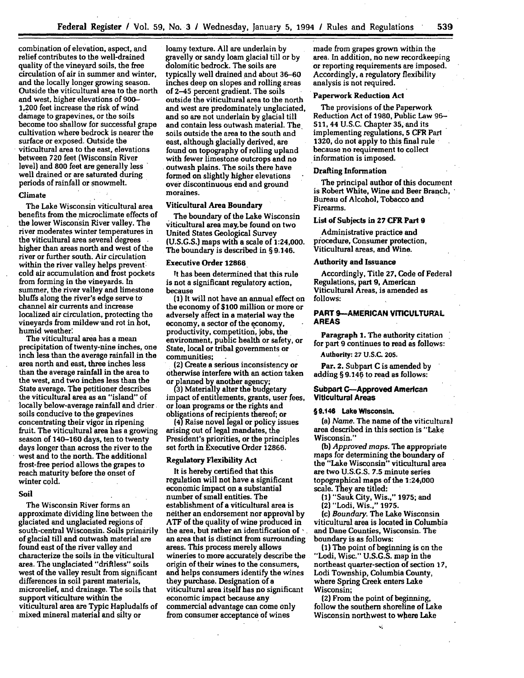combination of elevation, aspect, and relief contributes to the well-drained quality of the vineyard soils, the free circulation of air in summer and winter, and the locally longer growing season. Outside the viticultural area to the north and west, higher elevations of **900- 1,200** feet increase the risk of wind damage to grapevines, or the soils become too shallow for successful grape cultivation where bedrock is nearer the surface or exposed. Outside the viticultural area to the east, elevations between **720** feet (Wisconsin River level) and **800** feet are generally less well drained or are saturated during periods of rainfall or snowmelt.

#### Climate

The Lake Wisconsin viticultural area benefits from the microclimate effects of the lower Wisconsin River valley. The river moderates winter temperatures in the viticultural area several degrees higher than areas north and west of the river or further south. Air circulation within the river valley helps prevent. cold air accumulation and frost pockets from forming in the vineyards. In summer, the river valley and limestone bluffs along the river's edge serve **to** channel air currents and increase localized air circulation, protecting the vineyards from mildew-and rot in hot, humid weather:

The viticultural area has a mean precipitation of twenty-nine inches, one inch less than the average rainfall in the area north and east, three inches less than the average rainfall in the area to the west, and two inches less than the State average. The petitioner describes the viticultural area as an "island" of locally below-average rainfall and drier. soils conducive to the grapevines concentrating their vigor in ripening fruit. The viticultural area has a growing season of 140-160 days, ten to twenty days longer than across the river to the west and to the north. The additional frost-free period allows the grapes to reach maturity before the onset of winter cold.

### Soil

The Wisconsin River forms an approximate dividing line between the glaciated and unglaciated regions of south-central Wisconsin. Soils primarily of glacial till and outwash material are found east of the river valley and characterize the soils in the viticultural area. The unglaciated "driftless" soils west of the valley result from significant differences in soil parent materials, microrelief, and drainage. The soils that support viticulture within the viticultural area are Typic Hapludalfs of mixed mineral material and silty or

loamy texture. **All** are underlain **by** gravelly or sandy loam glacial till or **by** dolomitic bedrock. The soils are typically well drained and about **36-60** inches deep on slopes and rolling areas of 2-45 percent gradient. The soils outside the viticultural area to the north and west are predominately unglaciated, and so are not underlain **by** glacial till and contain less outwash material. The soils outside the area to the south and east, although glacially derived, are found on topography of rolling upland with fewer limestone outcrops and no outwash plains. The soils there have formed **on** slightly higher elevations over discontinuous end and ground moraines.

#### Viticultural Area Boundary

The boundary of the Lake Wisconsin viticultural area maybe found on two United States Geological Survey **(U.S.G.S.)** maps with a scale of 1:24,000. The boundary is described in § 9.146.

# Executive Order **12866**

It has been determined that this rule is not a significant regulatory action, because

**(1)** It will not have an annual effect on the economy of **\$100** million or more or adversely affect in a material way the economy, a sector of the economy, productivity, competition, jobs, the environment, public health or safety, or State, local or tribal governments or communities;

(2) Create a serious inconsistency or otherwise interfere with an action taken

or planned by another agency;<br>(3) Materially alter the budgetary impact of entitlements, grants, user fees, or loan programs or the rights and obligations of recipients thereof; or

(4) Raise novel [egal or policy issues arising out of legal mandates, the President's priorities, or the principles set forth in Executive Order **12866.**

#### Regulatory Flexibility Act

It is hereby certified that this regulation will not have a significant economic impact on a substantial number of small entities. The establishment of a viticultural area is neither an endorsement nor approval **by ATF** of the quality of wine produced in the area, but rather an identification **of'** an area that is distinct from surrounding areas. This process merely allows wineries to more accurately describe the origin of their wines to the consumers, and helps consumers identify the wines they purchase. Designation of a viticultural area itself has no significant economic impact because any commercial advantage can come only from consumer acceptance of wines

made from grapes grown within the area. In addition, no new recordkeeping or reporting requirements are imposed. Accordingly, a regulatory flexibility analysis is not required.

## Paperwork Reduction Act

The provisions of the Paperwork Reduction Act of **1980,** Public Law **96-** 511, 44 U.S.C. Chapter **35,** and its implementing regulations, 5 CFR Part **1320,** do not apply to this final rule because no requirement to collect information is imposed.

#### Drafting Information

The principal author of this document is Robert White, Wine and Beer Branch, Bureau of Alcohol, Tobacco and Firearms.

### List **of** Subjects in **27 CFR Part 9**

Administrative practice and procedure, Consumer protection, Viticultural areas, and Wine.

#### **Authority and Issuance**

Accordingly, Title **27,** Code of Federal Regulations, part **9,** American Viticultural Areas, is amended as **follows:**

## **PART 96-AMERICAN VITICULTURAL AREAS**

**Paragraph 1.** The authority citation for part 9 continues to read as follows:

Authority: **27 U.S.C** 205.

Par. 2. Subpart **C** is amended **by** adding § 9.146 to read as follows:

### **Subpart C-Approved American Viticultural Areas**

#### **§9.A46 Lake Wisconsin.**

(a) *Name.* The name of the viticultural area described in this section is "Lake Wisconsin."

*(b) Approved maps. The* **appropriate** maps for determining the **boundary of** the "Lake Wisconsin" viticultural area are two **U.S.G.S. 7.5** minute series topographical maps of the 1:24,000 scale. They are titled:

**(1)** "Sauk City, Wis.," **1975;** and

(2) "Lodi, Wis.," **1975.**

(c) *Boundary.* The Lake Wisconsin viticultural area is located in Columbia and Dane Counties, Wisconsin. The boundary is as follows:

**(1)** The point of beginning is on the "Lodi, Wisc." U.S.G.S. map in the northeast quarter-section of section **17,** Lodi Township, Columbia County, where Spring Creek enters Lake Wisconsin;

(2) From the point of beginning, follow the southern shoreline of Lake Wisconsin northwest to where Lake